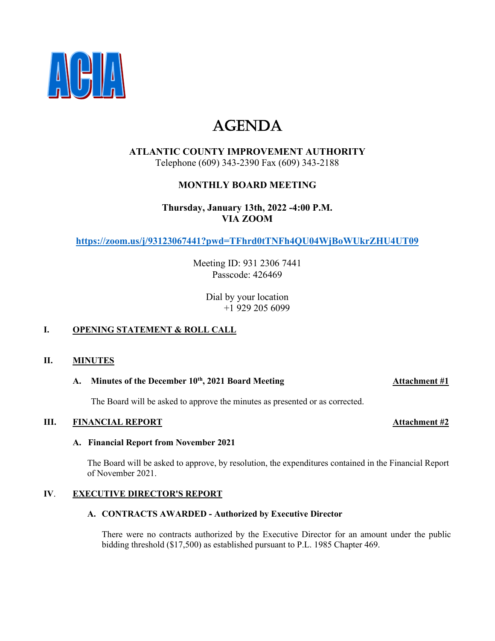

# AGENDA

**ATLANTIC COUNTY IMPROVEMENT AUTHORITY** Telephone (609) 343-2390 Fax (609) 343-2188

# **MONTHLY BOARD MEETING**

**Thursday, January 13th, 2022 -4:00 P.M. VIA ZOOM**

**<https://zoom.us/j/93123067441?pwd=TFhrd0tTNFh4QU04WjBoWUkrZHU4UT09>**

Meeting ID: 931 2306 7441 Passcode: 426469

> Dial by your location +1 929 205 6099

# **I. OPENING STATEMENT & ROLL CALL**

## **II. MINUTES**

# A. Minutes of the December 10<sup>th</sup>, 2021 Board Meeting **Attachment #1**

The Board will be asked to approve the minutes as presented or as corrected.

## **III. FINANCIAL REPORT Attachment #2**

# **A. Financial Report from November 2021**

The Board will be asked to approve, by resolution, the expenditures contained in the Financial Report of November 2021.

# **IV**. **EXECUTIVE DIRECTOR'S REPORT**

### **A. CONTRACTS AWARDED - Authorized by Executive Director**

There were no contracts authorized by the Executive Director for an amount under the public bidding threshold (\$17,500) as established pursuant to P.L. 1985 Chapter 469.